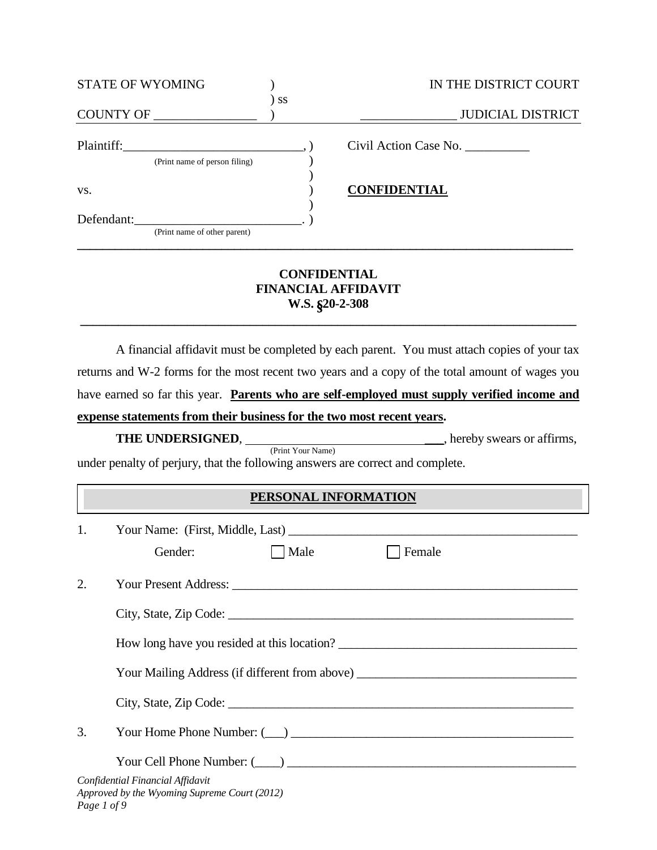| STATE OF WYOMING              |           | IN THE DISTRICT COURT    |
|-------------------------------|-----------|--------------------------|
| <b>COUNTY OF</b>              | <b>SS</b> | <b>JUDICIAL DISTRICT</b> |
| Plaintiff:                    |           | Civil Action Case No.    |
| (Print name of person filing) |           |                          |
|                               |           |                          |
| VS.                           |           | <b>CONFIDENTIAL</b>      |
|                               |           |                          |
| Defendant:                    |           |                          |
| (Print name of other parent)  |           |                          |
|                               |           |                          |

## **CONFIDENTIAL FINANCIAL AFFIDAVIT W.S.** §**20-2-308**

**\_\_\_\_\_\_\_\_\_\_\_\_\_\_\_\_\_\_\_\_\_\_\_\_\_\_\_\_\_\_\_\_\_\_\_\_\_\_\_\_\_\_\_\_\_\_\_\_\_\_\_\_\_\_\_\_\_\_\_\_\_\_\_\_\_\_\_\_\_\_\_\_\_\_\_\_\_\_\_**

A financial affidavit must be completed by each parent. You must attach copies of your tax returns and W-2 forms for the most recent two years and a copy of the total amount of wages you have earned so far this year. **Parents who are self-employed must supply verified income and expense statements from their business for the two most recent years.**

## **THE UNDERSIGNED**,\_\_\_, hereby swears or affirms,

(Print Your Name)

under penalty of perjury, that the following answers are correct and complete.

## **PERSONAL INFORMATION**

| 1.          | Your Name: (First, Middle, Last)                                                 |      |                                                                                   |
|-------------|----------------------------------------------------------------------------------|------|-----------------------------------------------------------------------------------|
|             | Gender:                                                                          | Male | Female                                                                            |
| 2.          |                                                                                  |      |                                                                                   |
|             |                                                                                  |      |                                                                                   |
|             |                                                                                  |      | How long have you resided at this location?                                       |
|             |                                                                                  |      | Your Mailing Address (if different from above) __________________________________ |
|             |                                                                                  |      |                                                                                   |
| 3.          |                                                                                  |      |                                                                                   |
|             |                                                                                  |      |                                                                                   |
| Page 1 of 9 | Confidential Financial Affidavit<br>Approved by the Wyoming Supreme Court (2012) |      |                                                                                   |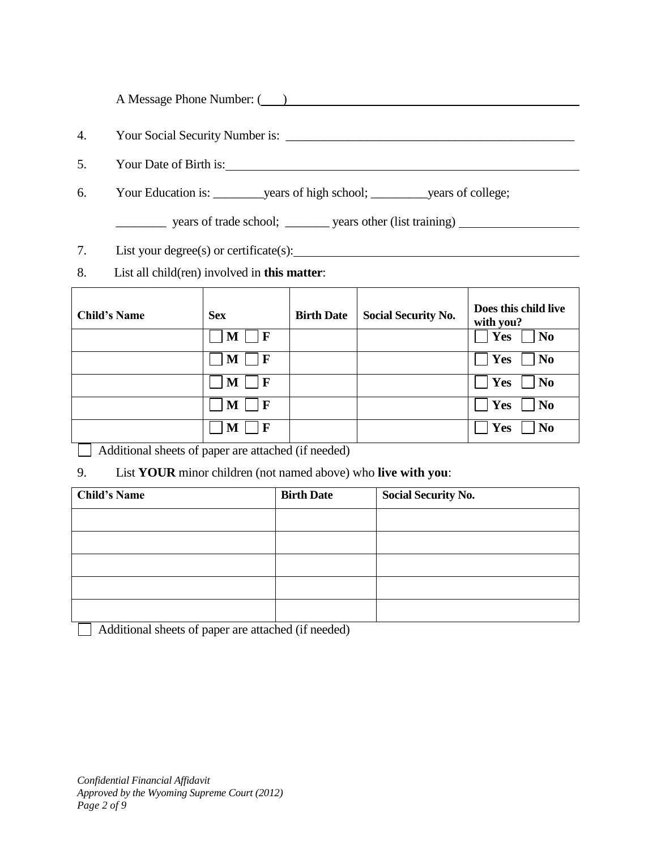A Message Phone Number: ( )

- 4. Your Social Security Number is: \_\_\_\_\_\_\_\_\_\_\_\_\_\_\_\_\_\_\_\_\_\_\_\_\_\_\_\_\_\_\_\_\_\_\_\_\_\_\_\_\_\_\_\_\_\_
- 5. Your Date of Birth is:
- 6. Your Education is: \_\_\_\_\_\_\_\_years of high school; \_\_\_\_\_\_\_\_\_years of college;
	- \_\_\_\_\_\_\_\_ years of trade school; \_\_\_\_\_\_\_ years other (list training)
- 7. List your degree(s) or certificate(s): 1. Contained the state of the state of the state of the state of the state of the state of the state of the state of the state of the state of the state of the state of the state o
- 8. List all child(ren) involved in **this matter**:

| <b>Child's Name</b> | <b>Sex</b>        | <b>Birth Date</b> | <b>Social Security No.</b> | Does this child live<br>with you? |
|---------------------|-------------------|-------------------|----------------------------|-----------------------------------|
|                     | $\mathbf{F}$<br>M |                   |                            | Yes<br>N <sub>0</sub>             |
|                     | $\bf F$<br>M      |                   |                            | Yes<br>N <sub>0</sub>             |
|                     | $\mathbf{F}$<br>M |                   |                            | Yes<br>N <sub>0</sub>             |
|                     | $\mathbf F$<br>M  |                   |                            | Yes<br>N <sub>0</sub>             |
|                     | $\mathbf F$<br>M  |                   |                            | Yes<br>No                         |

Additional sheets of paper are attached (if needed)

9. List **YOUR** minor children (not named above) who **live with you**:

| <b>Child's Name</b> | <b>Birth Date</b> | <b>Social Security No.</b> |
|---------------------|-------------------|----------------------------|
|                     |                   |                            |
|                     |                   |                            |
|                     |                   |                            |
|                     |                   |                            |
|                     |                   |                            |

Additional sheets of paper are attached (if needed)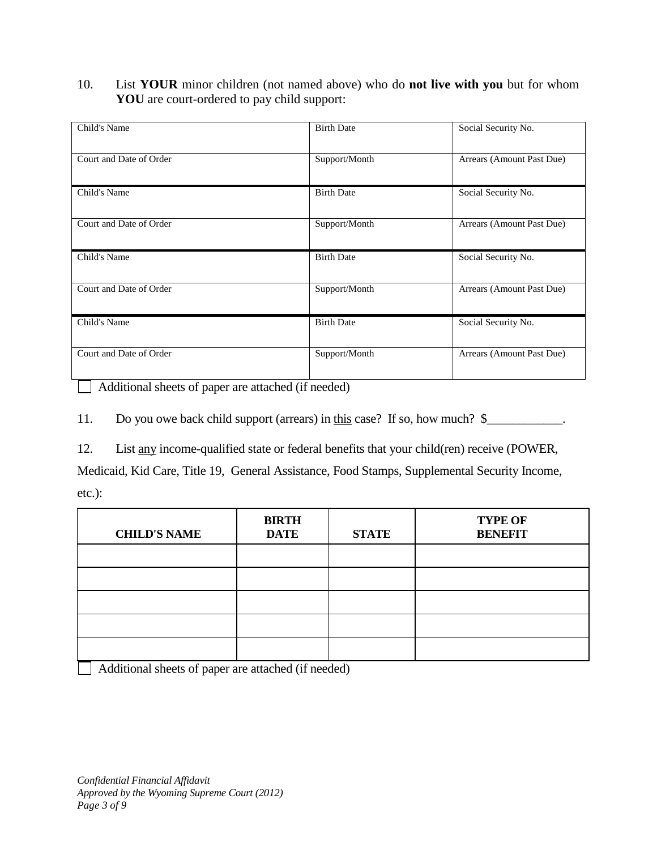10. List **YOUR** minor children (not named above) who do **not live with you** but for whom **YOU** are court-ordered to pay child support:

| Child's Name            | <b>Birth Date</b> | Social Security No.       |
|-------------------------|-------------------|---------------------------|
| Court and Date of Order | Support/Month     | Arrears (Amount Past Due) |
| Child's Name            | <b>Birth Date</b> | Social Security No.       |
| Court and Date of Order | Support/Month     | Arrears (Amount Past Due) |
| Child's Name            | <b>Birth Date</b> | Social Security No.       |
| Court and Date of Order | Support/Month     | Arrears (Amount Past Due) |
| Child's Name            | <b>Birth Date</b> | Social Security No.       |
| Court and Date of Order | Support/Month     | Arrears (Amount Past Due) |

Additional sheets of paper are attached (if needed)  $\mathbf{I}$ 

11. Do you owe back child support (arrears) in this case? If so, how much? \$\_\_\_\_\_\_\_\_\_\_.

12. List any income-qualified state or federal benefits that your child(ren) receive (POWER,

Medicaid, Kid Care, Title 19, General Assistance, Food Stamps, Supplemental Security Income, etc.):

| <b>CHILD'S NAME</b> | <b>BIRTH</b><br><b>DATE</b> | <b>STATE</b> | <b>TYPE OF</b><br><b>BENEFIT</b> |
|---------------------|-----------------------------|--------------|----------------------------------|
|                     |                             |              |                                  |
|                     |                             |              |                                  |
|                     |                             |              |                                  |
|                     |                             |              |                                  |
|                     |                             |              |                                  |

Additional sheets of paper are attached (if needed)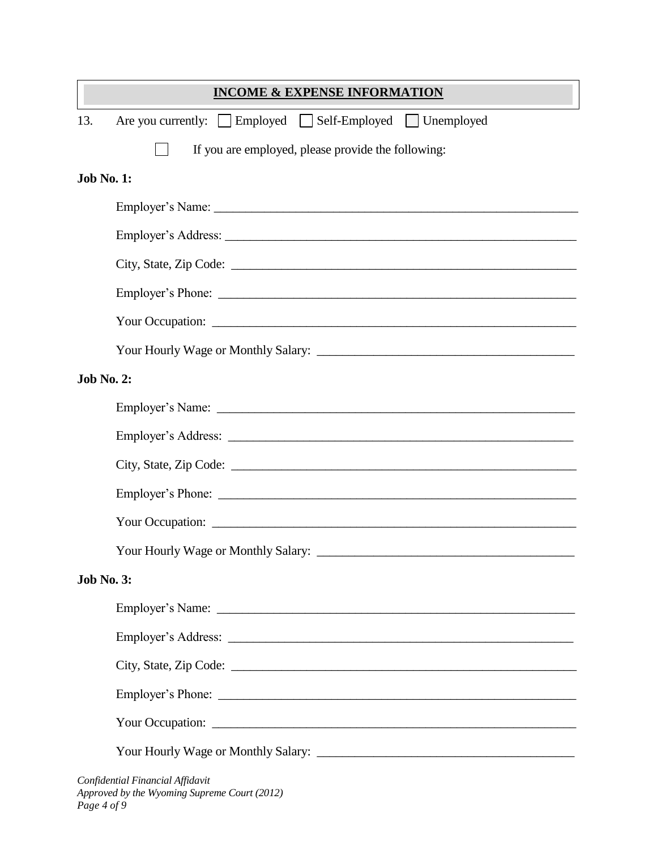|                   | <b>INCOME &amp; EXPENSE INFORMATION</b>                                          |
|-------------------|----------------------------------------------------------------------------------|
| 13.               | Are you currently: Employed Self-Employed Unemployed                             |
|                   | If you are employed, please provide the following:                               |
| <b>Job No. 1:</b> |                                                                                  |
|                   |                                                                                  |
|                   |                                                                                  |
|                   |                                                                                  |
|                   |                                                                                  |
|                   |                                                                                  |
|                   |                                                                                  |
| <b>Job No. 2:</b> |                                                                                  |
|                   |                                                                                  |
|                   |                                                                                  |
|                   |                                                                                  |
|                   |                                                                                  |
|                   |                                                                                  |
|                   |                                                                                  |
| <b>Job No. 3:</b> |                                                                                  |
|                   |                                                                                  |
|                   |                                                                                  |
|                   |                                                                                  |
|                   |                                                                                  |
|                   |                                                                                  |
|                   |                                                                                  |
|                   | Confidential Financial Affidavit<br>Approved by the Wyoming Supreme Court (2012) |

*Page 4 of 9*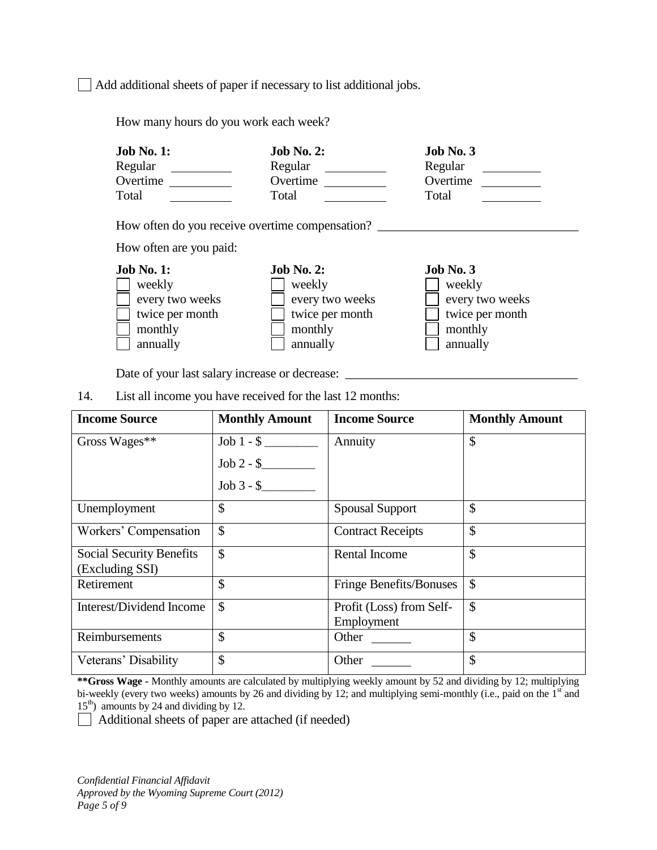Add additional sheets of paper if necessary to list additional jobs.

How many hours do you work each week?

| <b>Job No. 1:</b>                               | <b>Job No. 2:</b> | Job No. 3       |
|-------------------------------------------------|-------------------|-----------------|
| Regular                                         | Regular           | Regular         |
| Overtime                                        | Overtime          | Overtime        |
| Total                                           | Total             | Total           |
| How often do you receive overtime compensation? |                   |                 |
| How often are you paid:                         |                   |                 |
| <b>Job No. 1:</b>                               | <b>Job No. 2:</b> | Job No. 3       |
| weekly                                          | weekly            | weekly          |
| every two weeks                                 | every two weeks   | every two weeks |
| twice per month                                 | twice per month   | twice per month |

monthly monthly monthly monthly annually annually annually  $\Box$  annually  $\Box$  annually

Date of your last salary increase or decrease:

14. List all income you have received for the last 12 months:

| <b>Income Source</b>                        | <b>Monthly Amount</b> | <b>Income Source</b>                   | <b>Monthly Amount</b> |
|---------------------------------------------|-----------------------|----------------------------------------|-----------------------|
| Gross Wages**                               | $Job 1 - $$           | Annuity                                | \$                    |
|                                             | $Job 2 - $$           |                                        |                       |
|                                             | $Job 3 - $$           |                                        |                       |
| Unemployment                                | $\mathcal{S}$         | <b>Spousal Support</b>                 | \$                    |
| Workers' Compensation                       | \$                    | <b>Contract Receipts</b>               | \$                    |
| Social Security Benefits<br>(Excluding SSI) | $\mathcal{S}$         | <b>Rental Income</b>                   | \$                    |
| Retirement                                  | \$                    | <b>Fringe Benefits/Bonuses</b>         | \$                    |
| Interest/Dividend Income                    | $\mathcal{S}$         | Profit (Loss) from Self-<br>Employment | \$                    |
| Reimbursements                              | $\mathcal{S}$         | Other                                  | \$                    |
| Veterans' Disability                        | $\mathcal{S}$         | Other                                  | \$                    |

**\*\*Gross Wage -** Monthly amounts are calculated by multiplying weekly amount by 52 and dividing by 12; multiplying bi-weekly (every two weeks) amounts by 26 and dividing by 12; and multiplying semi-monthly (i.e., paid on the 1<sup>st</sup> and  $15<sup>th</sup>$ ) amounts by 24 and dividing by 12.

Additional sheets of paper are attached (if needed)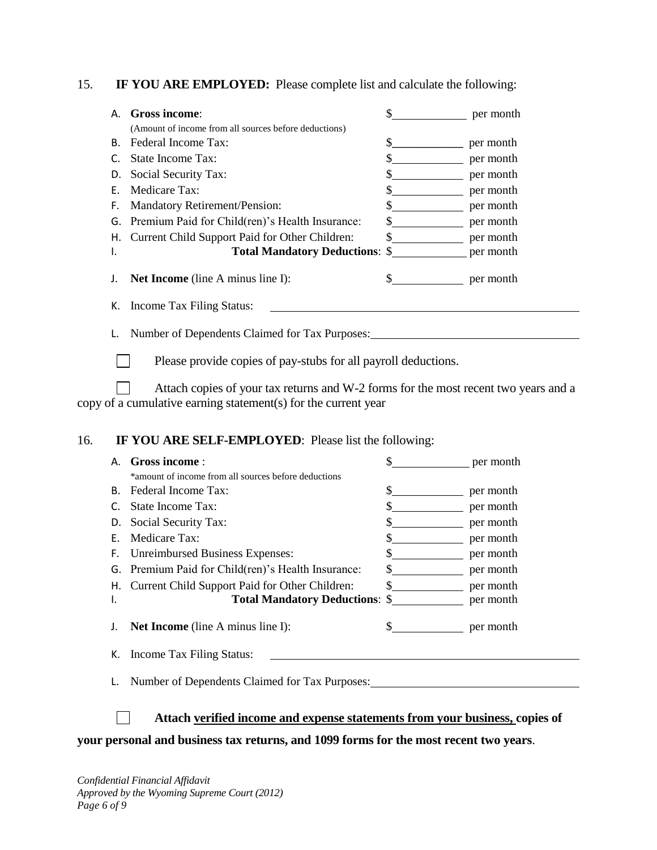15. **IF YOU ARE EMPLOYED:** Please complete list and calculate the following:

| А. | Gross income:                                         | \$ | per month |
|----|-------------------------------------------------------|----|-----------|
|    | (Amount of income from all sources before deductions) |    |           |
| В. | Federal Income Tax:                                   | \$ | per month |
|    | State Income Tax:                                     | \$ | per month |
| D. | Social Security Tax:                                  |    | per month |
| F. | Medicare Tax:                                         |    | per month |
| F. | <b>Mandatory Retirement/Pension:</b>                  |    | per month |
| G. | Premium Paid for Child(ren)'s Health Insurance:       | S  | per month |
| Н. | Current Child Support Paid for Other Children:        |    | per month |
| ı. | <b>Total Mandatory Deductions: \$</b>                 |    | per month |
|    | <b>Net Income</b> (line A minus line I):              |    | per month |
| К. | Income Tax Filing Status:                             |    |           |
|    | Number of Dependents Claimed for Tax Purposes:        |    |           |

 $\Box$ Please provide copies of pay-stubs for all payroll deductions.

Attach copies of your tax returns and W-2 forms for the most recent two years and a  $\Box$ copy of a cumulative earning statement(s) for the current year

### 16. **IF YOU ARE SELF-EMPLOYED**: Please list the following:

| А. | Gross income:                                        | \$                                                                                                                                                                                                                                                                                                                                                                           | per month |  |  |  |
|----|------------------------------------------------------|------------------------------------------------------------------------------------------------------------------------------------------------------------------------------------------------------------------------------------------------------------------------------------------------------------------------------------------------------------------------------|-----------|--|--|--|
|    | *amount of income from all sources before deductions |                                                                                                                                                                                                                                                                                                                                                                              |           |  |  |  |
|    | B. Federal Income Tax:                               | \$                                                                                                                                                                                                                                                                                                                                                                           | per month |  |  |  |
|    | State Income Tax:                                    | \$.                                                                                                                                                                                                                                                                                                                                                                          | per month |  |  |  |
| D. | Social Security Tax:                                 | \$                                                                                                                                                                                                                                                                                                                                                                           | per month |  |  |  |
| F. | Medicare Tax:                                        | \$                                                                                                                                                                                                                                                                                                                                                                           | per month |  |  |  |
| F. | <b>Unreimbursed Business Expenses:</b>               | \$                                                                                                                                                                                                                                                                                                                                                                           | per month |  |  |  |
|    | G. Premium Paid for Child(ren)'s Health Insurance:   | \$.                                                                                                                                                                                                                                                                                                                                                                          | per month |  |  |  |
|    | H. Current Child Support Paid for Other Children:    | $\frac{\text{S}}{\text{S}}$                                                                                                                                                                                                                                                                                                                                                  | per month |  |  |  |
| ۱. | <b>Total Mandatory Deductions:</b> \$ per month      |                                                                                                                                                                                                                                                                                                                                                                              |           |  |  |  |
|    | <b>Net Income</b> (line A minus line I):             | $\frac{\S_{\frac{1}{2}}}{\S_{\frac{1}{2}}}{\S_{\frac{1}{2}}}{\S_{\frac{1}{2}}}{\S_{\frac{1}{2}}}{\S_{\frac{1}{2}}}{\S_{\frac{1}{2}}}{\S_{\frac{1}{2}}}{\S_{\frac{1}{2}}}{\S_{\frac{1}{2}}}{\S_{\frac{1}{2}}}{\S_{\frac{1}{2}}}{\S_{\frac{1}{2}}}{\S_{\frac{1}{2}}}{\S_{\frac{1}{2}}}{\S_{\frac{1}{2}}}{\S_{\frac{1}{2}}}{\S_{\frac{1}{2}}}{\S_{\frac{1}{2}}}{\S_{\frac{1}{2$ | per month |  |  |  |
| К. | Income Tax Filing Status:                            |                                                                                                                                                                                                                                                                                                                                                                              |           |  |  |  |
|    | Number of Dependents Claimed for Tax Purposes:       |                                                                                                                                                                                                                                                                                                                                                                              |           |  |  |  |

**Attach verified income and expense statements from your business, copies of** 

**your personal and business tax returns, and 1099 forms for the most recent two years**.

 $\Box$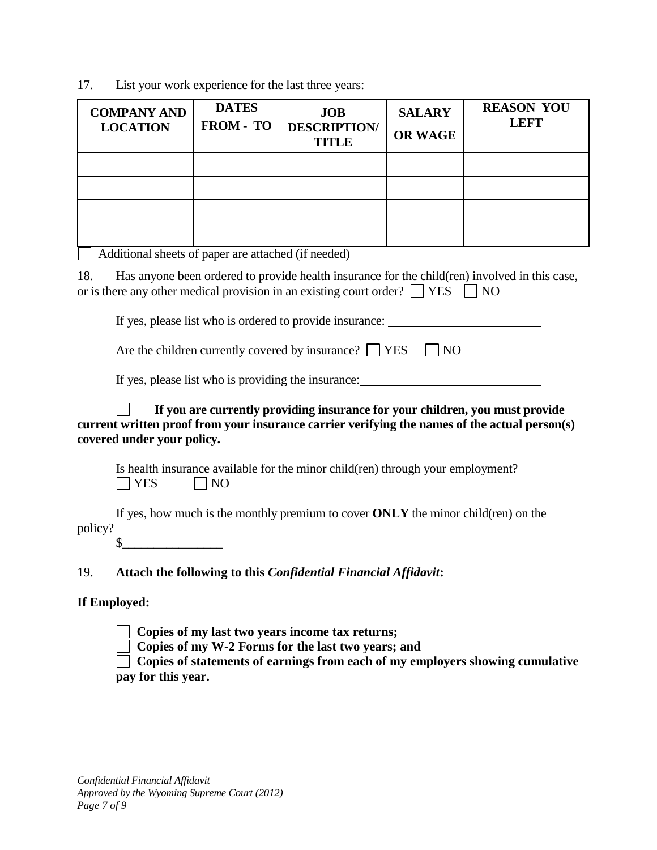17. List your work experience for the last three years:

| <b>COMPANY AND</b><br><b>LOCATION</b>                                                                                                                                                                       | <b>DATES</b><br>FROM - TO | <b>JOB</b><br><b>DESCRIPTION</b><br>TITLE | <b>SALARY</b><br><b>OR WAGE</b> | <b>REASON YOU</b><br><b>LEFT</b> |  |
|-------------------------------------------------------------------------------------------------------------------------------------------------------------------------------------------------------------|---------------------------|-------------------------------------------|---------------------------------|----------------------------------|--|
|                                                                                                                                                                                                             |                           |                                           |                                 |                                  |  |
|                                                                                                                                                                                                             |                           |                                           |                                 |                                  |  |
|                                                                                                                                                                                                             |                           |                                           |                                 |                                  |  |
|                                                                                                                                                                                                             |                           |                                           |                                 |                                  |  |
| Additional sheets of paper are attached (if needed)                                                                                                                                                         |                           |                                           |                                 |                                  |  |
| Has anyone been ordered to provide health insurance for the child (ren) involved in this case,<br>18.<br>or is there any other medical provision in an existing court order? $\Box$ YES<br><b>NO</b>        |                           |                                           |                                 |                                  |  |
| If yes, please list who is ordered to provide insurance:                                                                                                                                                    |                           |                                           |                                 |                                  |  |
| Are the children currently covered by insurance? $\Box$ YES<br>N <sub>O</sub>                                                                                                                               |                           |                                           |                                 |                                  |  |
| If yes, please list who is providing the insurance:                                                                                                                                                         |                           |                                           |                                 |                                  |  |
| If you are currently providing insurance for your children, you must provide<br>current written proof from your insurance carrier verifying the names of the actual person(s)<br>covered under your policy. |                           |                                           |                                 |                                  |  |

Is health insurance available for the minor child(ren) through your employment?  $\Box$  YES  $\Box$  NO

If yes, how much is the monthly premium to cover **ONLY** the minor child(ren) on the policy?  $\sim$ 

19. **Attach the following to this** *Confidential Financial Affidavit***:** 

## **If Employed:**

**Copies of my last two years income tax returns;**

Copies of my W-2 Forms for the last two years; and

 **Copies of statements of earnings from each of my employers showing cumulative pay for this year.**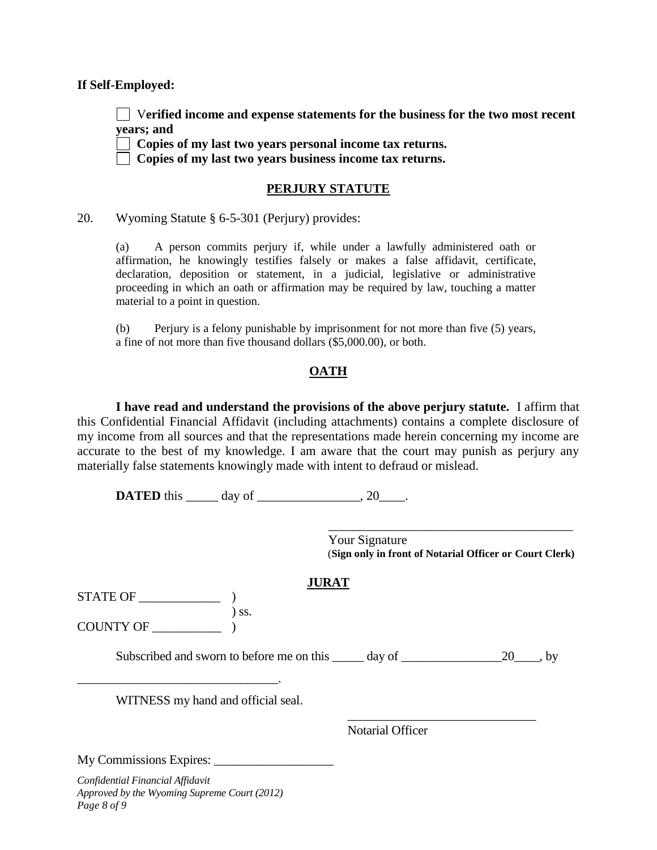#### **If Self-Employed:**

 V**erified income and expense statements for the business for the two most recent years; and**

**Copies of my last two years personal income tax returns.**

**Copies of my last two years business income tax returns.**

### **PERJURY STATUTE**

20. Wyoming Statute § 6-5-301 (Perjury) provides:

(a) A person commits perjury if, while under a lawfully administered oath or affirmation, he knowingly testifies falsely or makes a false affidavit, certificate, declaration, deposition or statement, in a judicial, legislative or administrative proceeding in which an oath or affirmation may be required by law, touching a matter material to a point in question.

(b) Perjury is a felony punishable by imprisonment for not more than five (5) years, a fine of not more than five thousand dollars (\$5,000.00), or both.

### **OATH**

**I have read and understand the provisions of the above perjury statute.** I affirm that this Confidential Financial Affidavit (including attachments) contains a complete disclosure of my income from all sources and that the representations made herein concerning my income are accurate to the best of my knowledge. I am aware that the court may punish as perjury any materially false statements knowingly made with intent to defraud or mislead.

**DATED** this \_\_\_\_\_\_ day of \_\_\_\_\_\_\_\_\_\_\_\_\_\_\_, 20\_\_\_\_.

 Your Signature (**Sign only in front of Notarial Officer or Court Clerk)**

 $\overline{\phantom{a}}$  ,  $\overline{\phantom{a}}$  ,  $\overline{\phantom{a}}$  ,  $\overline{\phantom{a}}$  ,  $\overline{\phantom{a}}$  ,  $\overline{\phantom{a}}$  ,  $\overline{\phantom{a}}$  ,  $\overline{\phantom{a}}$  ,  $\overline{\phantom{a}}$  ,  $\overline{\phantom{a}}$  ,  $\overline{\phantom{a}}$  ,  $\overline{\phantom{a}}$  ,  $\overline{\phantom{a}}$  ,  $\overline{\phantom{a}}$  ,  $\overline{\phantom{a}}$  ,  $\overline{\phantom{a}}$ 

\_\_\_\_\_\_\_\_\_\_\_\_\_\_\_\_\_\_\_\_\_\_\_\_\_\_\_\_\_\_

### **JURAT**

 $STATE OF$   $\qquad \qquad$  ) ss. COUNTY OF \_\_\_\_\_\_\_\_\_\_\_ )

Subscribed and sworn to before me on this \_\_\_\_\_ day of \_\_\_\_\_\_\_\_\_\_\_\_\_\_\_\_\_\_\_\_\_\_\_\_\_\_ by

WITNESS my hand and official seal.

Notarial Officer

My Commissions Expires: \_\_\_\_\_\_\_\_\_\_\_\_\_\_\_\_\_\_\_

*Confidential Financial Affidavit Approved by the Wyoming Supreme Court (2012) Page 8 of 9*

\_\_\_\_\_\_\_\_\_\_\_\_\_\_\_\_\_\_\_\_\_\_\_\_\_\_\_\_\_\_\_\_.